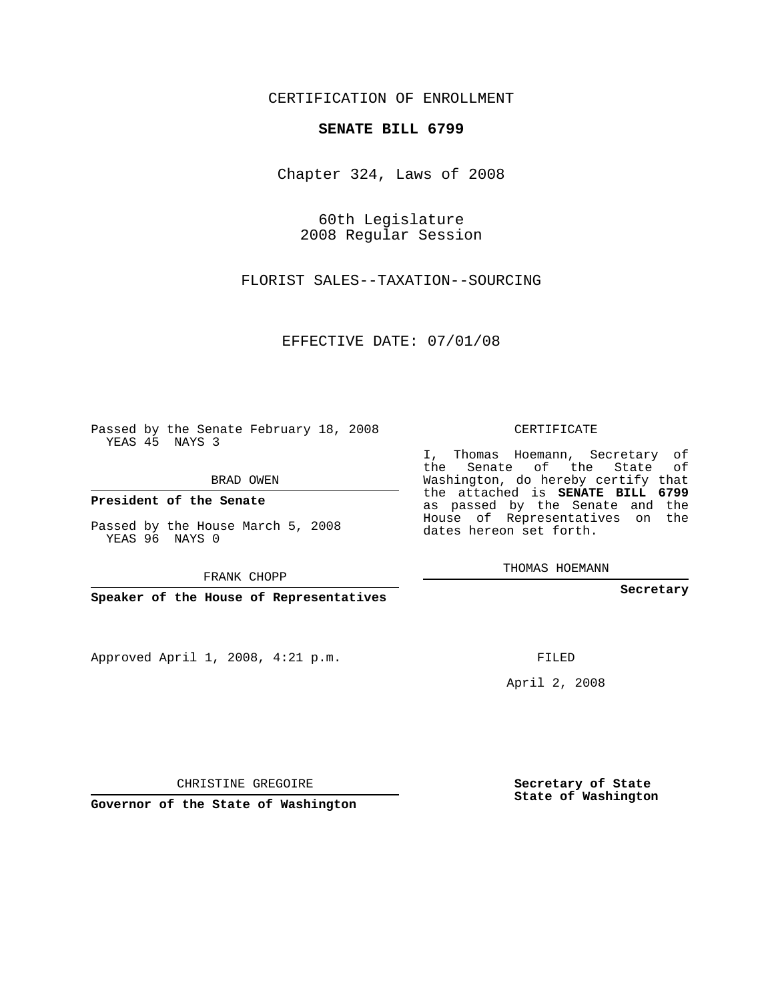CERTIFICATION OF ENROLLMENT

## **SENATE BILL 6799**

Chapter 324, Laws of 2008

60th Legislature 2008 Regular Session

FLORIST SALES--TAXATION--SOURCING

EFFECTIVE DATE: 07/01/08

Passed by the Senate February 18, 2008 YEAS 45 NAYS 3

BRAD OWEN

**President of the Senate**

Passed by the House March 5, 2008 YEAS 96 NAYS 0

FRANK CHOPP

**Speaker of the House of Representatives**

Approved April 1, 2008, 4:21 p.m.

CERTIFICATE

I, Thomas Hoemann, Secretary of the Senate of the State of Washington, do hereby certify that the attached is **SENATE BILL 6799** as passed by the Senate and the House of Representatives on the dates hereon set forth.

THOMAS HOEMANN

**Secretary**

FILED

April 2, 2008

**Secretary of State State of Washington**

CHRISTINE GREGOIRE

**Governor of the State of Washington**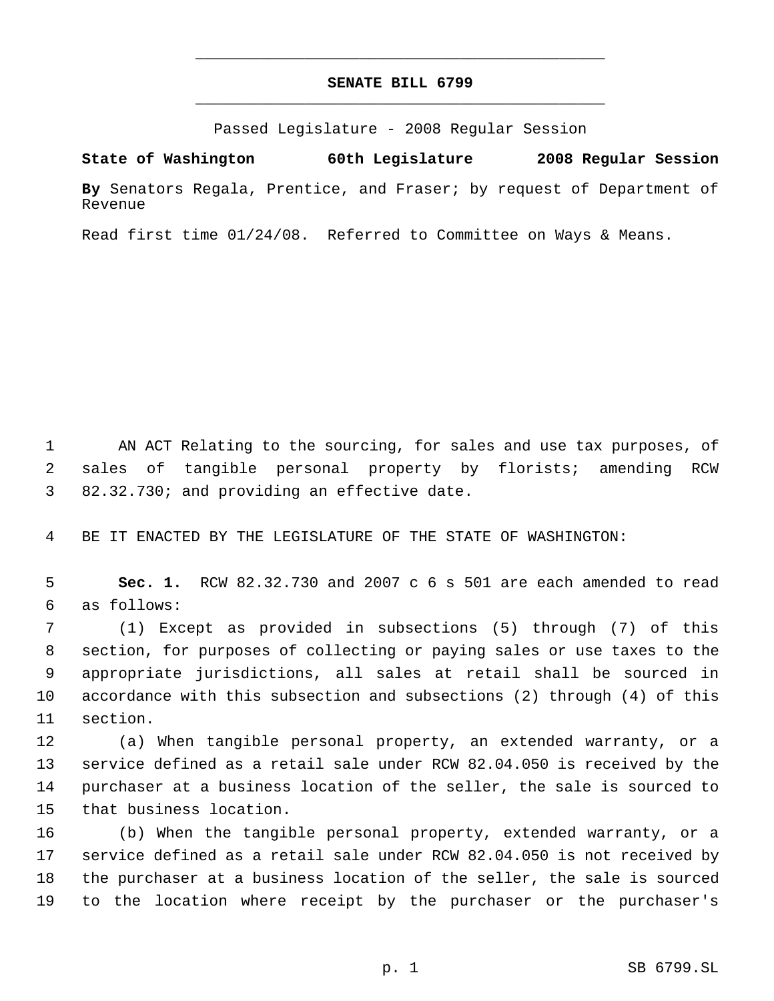## **SENATE BILL 6799** \_\_\_\_\_\_\_\_\_\_\_\_\_\_\_\_\_\_\_\_\_\_\_\_\_\_\_\_\_\_\_\_\_\_\_\_\_\_\_\_\_\_\_\_\_

\_\_\_\_\_\_\_\_\_\_\_\_\_\_\_\_\_\_\_\_\_\_\_\_\_\_\_\_\_\_\_\_\_\_\_\_\_\_\_\_\_\_\_\_\_

Passed Legislature - 2008 Regular Session

**State of Washington 60th Legislature 2008 Regular Session By** Senators Regala, Prentice, and Fraser; by request of Department of

Revenue

Read first time 01/24/08. Referred to Committee on Ways & Means.

 AN ACT Relating to the sourcing, for sales and use tax purposes, of sales of tangible personal property by florists; amending RCW 82.32.730; and providing an effective date.

BE IT ENACTED BY THE LEGISLATURE OF THE STATE OF WASHINGTON:

 **Sec. 1.** RCW 82.32.730 and 2007 c 6 s 501 are each amended to read as follows:

 (1) Except as provided in subsections (5) through (7) of this section, for purposes of collecting or paying sales or use taxes to the appropriate jurisdictions, all sales at retail shall be sourced in accordance with this subsection and subsections (2) through (4) of this section.

 (a) When tangible personal property, an extended warranty, or a service defined as a retail sale under RCW 82.04.050 is received by the purchaser at a business location of the seller, the sale is sourced to that business location.

 (b) When the tangible personal property, extended warranty, or a service defined as a retail sale under RCW 82.04.050 is not received by the purchaser at a business location of the seller, the sale is sourced to the location where receipt by the purchaser or the purchaser's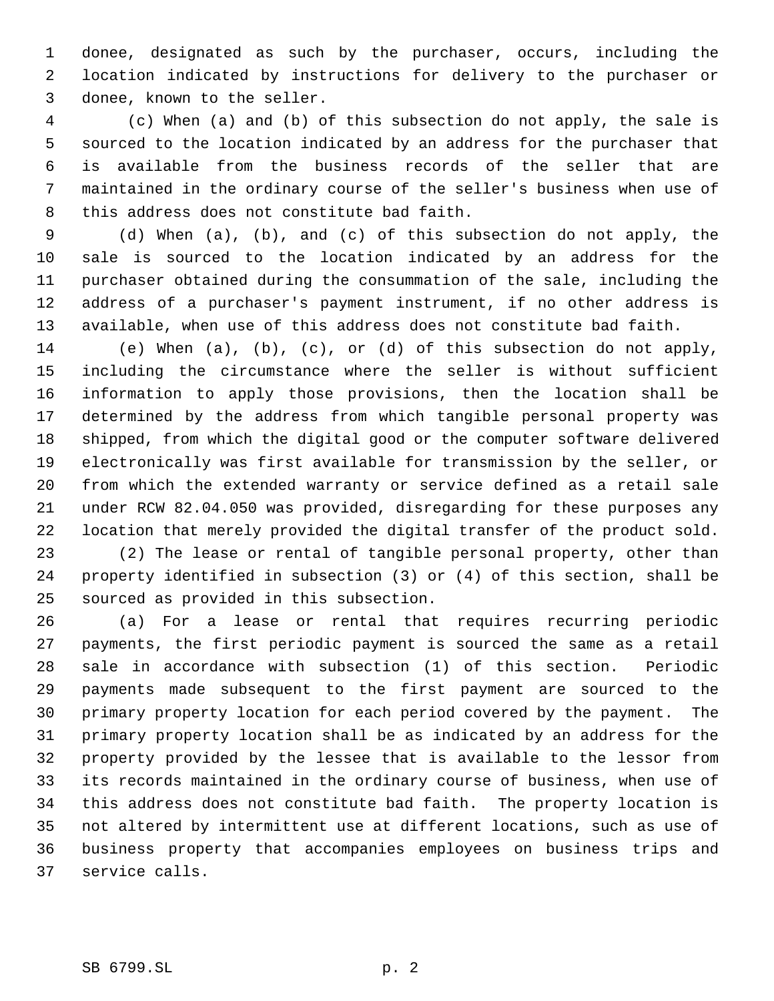donee, designated as such by the purchaser, occurs, including the location indicated by instructions for delivery to the purchaser or donee, known to the seller.

 4 (c) When (a) and (b) of this subsection do not apply, the sale is sourced to the location indicated by an address for the purchaser that is available from the business records of the seller that are maintained in the ordinary course of the seller's business when use of this address does not constitute bad faith.

 (d) When (a), (b), and (c) of this subsection do not apply, the sale is sourced to the location indicated by an address for the purchaser obtained during the consummation of the sale, including the address of a purchaser's payment instrument, if no other address is available, when use of this address does not constitute bad faith.

 (e) When (a), (b), (c), or (d) of this subsection do not apply, including the circumstance where the seller is without sufficient information to apply those provisions, then the location shall be determined by the address from which tangible personal property was shipped, from which the digital good or the computer software delivered electronically was first available for transmission by the seller, or from which the extended warranty or service defined as a retail sale under RCW 82.04.050 was provided, disregarding for these purposes any location that merely provided the digital transfer of the product sold.

 (2) The lease or rental of tangible personal property, other than property identified in subsection (3) or (4) of this section, shall be sourced as provided in this subsection.

 (a) For a lease or rental that requires recurring periodic payments, the first periodic payment is sourced the same as a retail sale in accordance with subsection (1) of this section. Periodic payments made subsequent to the first payment are sourced to the primary property location for each period covered by the payment. The primary property location shall be as indicated by an address for the property provided by the lessee that is available to the lessor from its records maintained in the ordinary course of business, when use of this address does not constitute bad faith. The property location is not altered by intermittent use at different locations, such as use of business property that accompanies employees on business trips and service calls.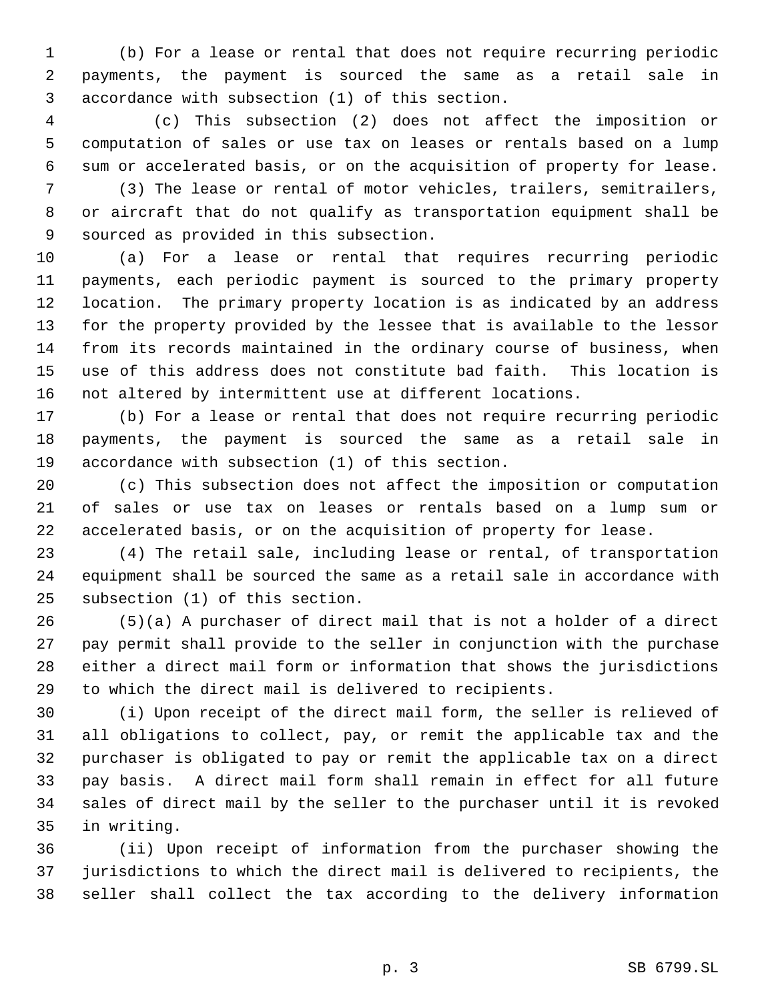(b) For a lease or rental that does not require recurring periodic payments, the payment is sourced the same as a retail sale in accordance with subsection (1) of this section.

 4 (c) This subsection (2) does not affect the imposition or computation of sales or use tax on leases or rentals based on a lump sum or accelerated basis, or on the acquisition of property for lease.

 (3) The lease or rental of motor vehicles, trailers, semitrailers, or aircraft that do not qualify as transportation equipment shall be sourced as provided in this subsection.

 (a) For a lease or rental that requires recurring periodic payments, each periodic payment is sourced to the primary property location. The primary property location is as indicated by an address for the property provided by the lessee that is available to the lessor from its records maintained in the ordinary course of business, when use of this address does not constitute bad faith. This location is not altered by intermittent use at different locations.

 (b) For a lease or rental that does not require recurring periodic payments, the payment is sourced the same as a retail sale in accordance with subsection (1) of this section.

 (c) This subsection does not affect the imposition or computation of sales or use tax on leases or rentals based on a lump sum or accelerated basis, or on the acquisition of property for lease.

 (4) The retail sale, including lease or rental, of transportation equipment shall be sourced the same as a retail sale in accordance with subsection (1) of this section.

 (5)(a) A purchaser of direct mail that is not a holder of a direct pay permit shall provide to the seller in conjunction with the purchase either a direct mail form or information that shows the jurisdictions to which the direct mail is delivered to recipients.

 (i) Upon receipt of the direct mail form, the seller is relieved of all obligations to collect, pay, or remit the applicable tax and the purchaser is obligated to pay or remit the applicable tax on a direct pay basis. A direct mail form shall remain in effect for all future sales of direct mail by the seller to the purchaser until it is revoked in writing.

 (ii) Upon receipt of information from the purchaser showing the jurisdictions to which the direct mail is delivered to recipients, the seller shall collect the tax according to the delivery information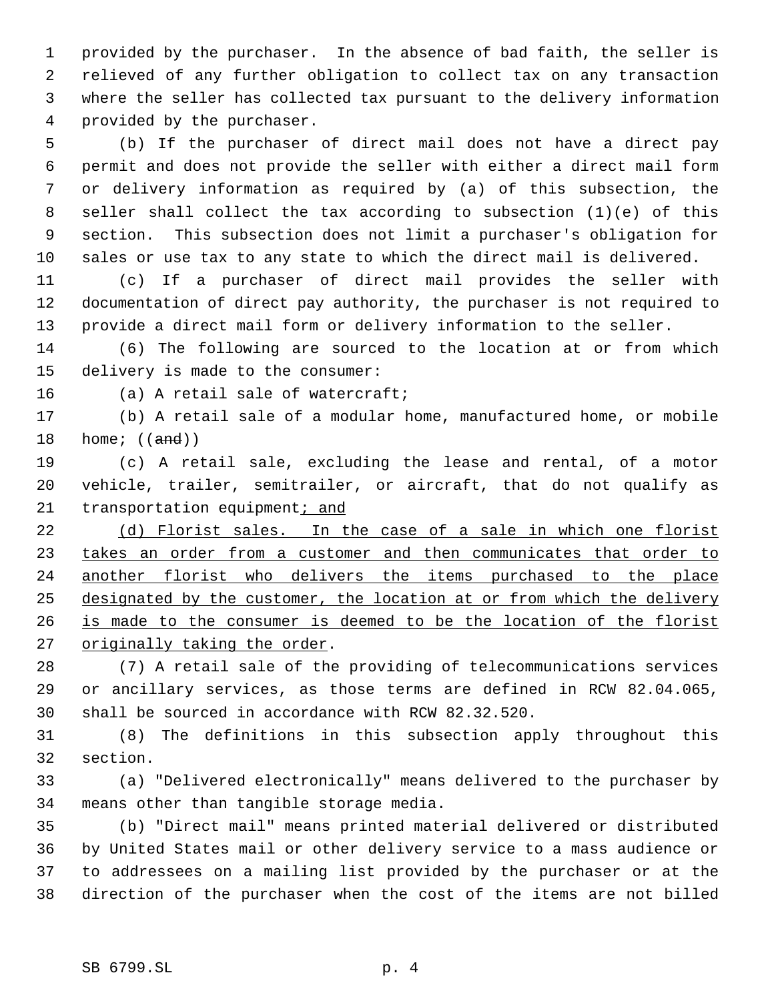provided by the purchaser. In the absence of bad faith, the seller is relieved of any further obligation to collect tax on any transaction where the seller has collected tax pursuant to the delivery information provided by the purchaser.

 (b) If the purchaser of direct mail does not have a direct pay permit and does not provide the seller with either a direct mail form or delivery information as required by (a) of this subsection, the seller shall collect the tax according to subsection (1)(e) of this section. This subsection does not limit a purchaser's obligation for sales or use tax to any state to which the direct mail is delivered.

 (c) If a purchaser of direct mail provides the seller with documentation of direct pay authority, the purchaser is not required to provide a direct mail form or delivery information to the seller.

 (6) The following are sourced to the location at or from which delivery is made to the consumer:

(a) A retail sale of watercraft;

 (b) A retail sale of a modular home, manufactured home, or mobile 18 home;  $((and))$ 

 (c) A retail sale, excluding the lease and rental, of a motor vehicle, trailer, semitrailer, or aircraft, that do not qualify as 21 transportation equipment; and

22 (d) Florist sales. In the case of a sale in which one florist takes an order from a customer and then communicates that order to another florist who delivers the items purchased to the place 25 designated by the customer, the location at or from which the delivery is made to the consumer is deemed to be the location of the florist 27 originally taking the order.

 (7) A retail sale of the providing of telecommunications services or ancillary services, as those terms are defined in RCW 82.04.065, shall be sourced in accordance with RCW 82.32.520.

 (8) The definitions in this subsection apply throughout this section.

 (a) "Delivered electronically" means delivered to the purchaser by means other than tangible storage media.

 (b) "Direct mail" means printed material delivered or distributed by United States mail or other delivery service to a mass audience or to addressees on a mailing list provided by the purchaser or at the direction of the purchaser when the cost of the items are not billed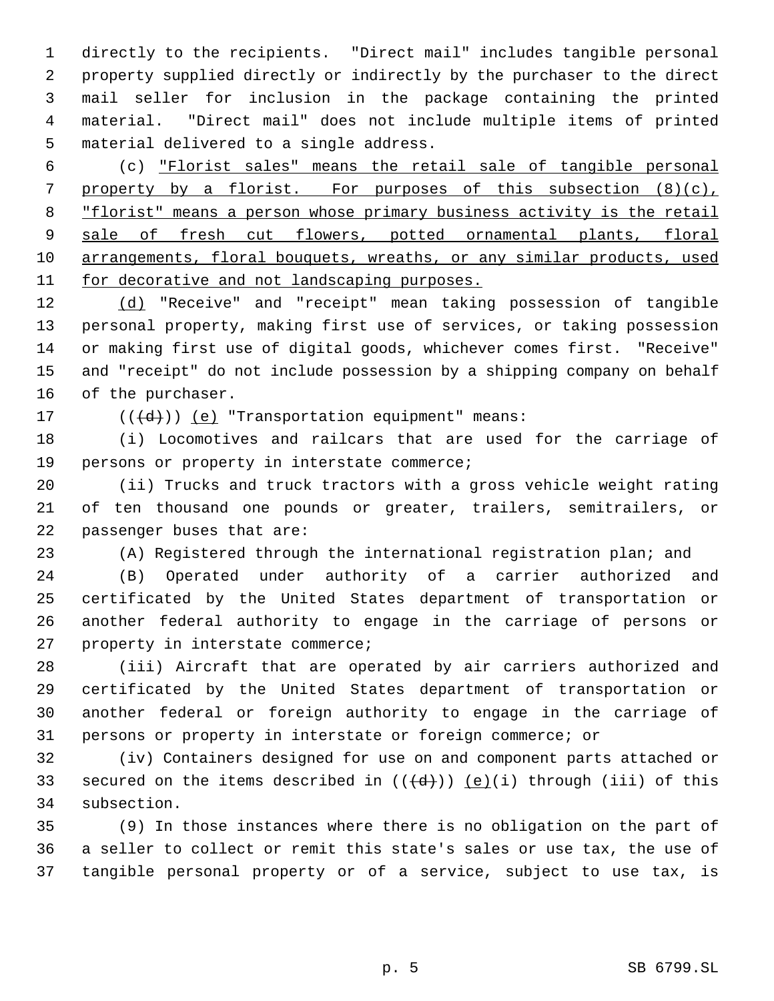directly to the recipients. "Direct mail" includes tangible personal property supplied directly or indirectly by the purchaser to the direct mail seller for inclusion in the package containing the printed material. "Direct mail" does not include multiple items of printed material delivered to a single address.

 (c) "Florist sales" means the retail sale of tangible personal 7 property by a florist. For purposes of this subsection (8)(c), "florist" means a person whose primary business activity is the retail 9 sale of fresh cut flowers, potted ornamental plants, floral arrangements, floral bouquets, wreaths, or any similar products, used 11 for decorative and not landscaping purposes.

 (d) "Receive" and "receipt" mean taking possession of tangible personal property, making first use of services, or taking possession or making first use of digital goods, whichever comes first. "Receive" and "receipt" do not include possession by a shipping company on behalf of the purchaser.

17  $((\{d\}))(e)$  "Transportation equipment" means:

 (i) Locomotives and railcars that are used for the carriage of persons or property in interstate commerce;

 (ii) Trucks and truck tractors with a gross vehicle weight rating of ten thousand one pounds or greater, trailers, semitrailers, or passenger buses that are:

(A) Registered through the international registration plan; and

 (B) Operated under authority of a carrier authorized and certificated by the United States department of transportation or another federal authority to engage in the carriage of persons or property in interstate commerce;

 (iii) Aircraft that are operated by air carriers authorized and certificated by the United States department of transportation or another federal or foreign authority to engage in the carriage of persons or property in interstate or foreign commerce; or

 (iv) Containers designed for use on and component parts attached or 33 secured on the items described in  $((\{d\}))(\{e\})(i)$  through (iii) of this subsection.

 (9) In those instances where there is no obligation on the part of a seller to collect or remit this state's sales or use tax, the use of tangible personal property or of a service, subject to use tax, is